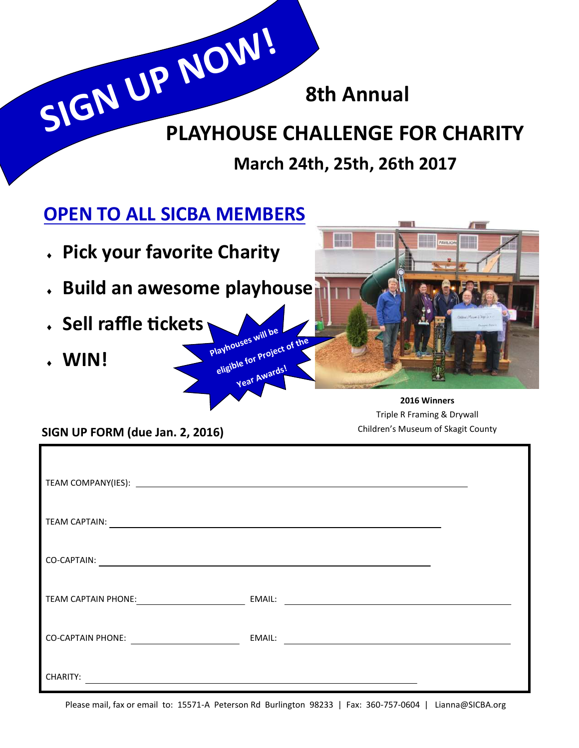**8th Annual**

## **PLAYHOUSE CHALLENGE FOR CHARITY SIGN UP NOW!**

**March 24th, 25th, 26th 2017**

## **OPEN TO ALL SICBA MEMBERS**

- **Pick your favorite Charity**
- **Build an awesome playhouse**

**Playhouses will be** 

**eligible for Project of the** 

**Year Awards!**

- **Sell raffle tickets**
- **WIN!**



**2016 Winners** Triple R Framing & Drywall

Children's Museum of Skagit County **SIGN UP FORM (due Jan. 2, 2016)**

| TEAM CAPTAIN:                                                              |                                                                                                                       |  |
|----------------------------------------------------------------------------|-----------------------------------------------------------------------------------------------------------------------|--|
| CO-CAPTAIN:                                                                | <u> 1989 - Johann Stoff, deutscher Stoff, der Stoff, der Stoff, der Stoff, der Stoff, der Stoff, der Stoff, der S</u> |  |
| TEAM CAPTAIN PHONE:<br><u> 1990 - Johann Barbara, mart</u>                 | EMAIL:<br><u> 1989 - Johann Barn, mars et al. (b. 1989)</u>                                                           |  |
| <b>CO-CAPTAIN PHONE:</b><br><u>and the state of the state of the state</u> | EMAIL:<br><u> 1989 - Andrea Andrew Maria (h. 1989).</u>                                                               |  |
| <b>CHARITY:</b>                                                            |                                                                                                                       |  |

Please mail, fax or email to: 15571-A Peterson Rd Burlington 98233 | Fax: 360-757-0604 | Lianna@SICBA.org